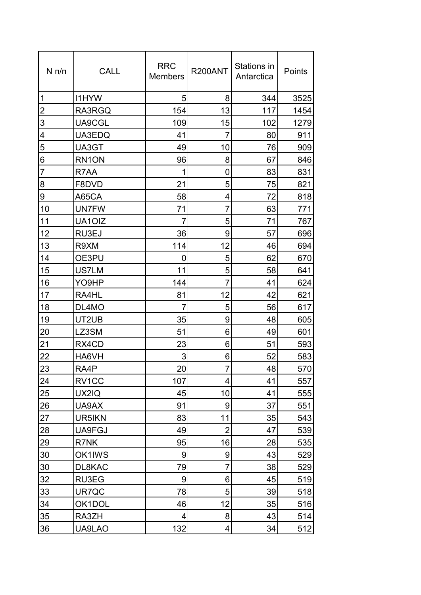| $N \pi/n$      | <b>CALL</b>        | <b>RRC</b><br><b>Members</b> | R200ANT        | Stations in<br>Antarctica | Points |
|----------------|--------------------|------------------------------|----------------|---------------------------|--------|
| 1              | <b>I1HYW</b>       | 5                            | 8              | 344                       | 3525   |
| $\overline{2}$ | RA3RGQ             | 154                          | 13             | 117                       | 1454   |
| 3              | UA9CGL             | 109                          | 15             | 102                       | 1279   |
| 4              | UA3EDQ             | 41                           | $\overline{7}$ | 80                        | 911    |
| 5              | UA3GT              | 49                           | 10             | 76                        | 909    |
| 6              | RN <sub>1</sub> ON | 96                           | 8              | 67                        | 846    |
| $\overline{7}$ | R7AA               | 1                            | 0              | 83                        | 831    |
| 8              | F8DVD              | 21                           | 5              | 75                        | 821    |
| 9              | A65CA              | 58                           | 4              | 72                        | 818    |
| 10             | <b>UN7FW</b>       | 71                           | $\overline{7}$ | 63                        | 771    |
| 11             | UA10IZ             | $\overline{7}$               | 5              | 71                        | 767    |
| 12             | RU3EJ              | 36                           | 9              | 57                        | 696    |
| 13             | R9XM               | 114                          | 12             | 46                        | 694    |
| 14             | OE3PU              | 0                            | 5              | 62                        | 670    |
| 15             | US7LM              | 11                           | 5              | 58                        | 641    |
| 16             | YO9HP              | 144                          | 7              | 41                        | 624    |
| 17             | RA4HL              | 81                           | 12             | 42                        | 621    |
| 18             | DL4MO              | 7                            | 5              | 56                        | 617    |
| 19             | UT2UB              | 35                           | 9              | 48                        | 605    |
| 20             | LZ3SM              | 51                           | 6              | 49                        | 601    |
| 21             | RX4CD              | 23                           | 6              | 51                        | 593    |
| 22             | HA6VH              | 3                            | 6              | 52                        | 583    |
| 23             | RA4P               | 20                           | $\overline{7}$ | 48                        | 570    |
| 24             | RV1CC              | 107                          | 4              | 41                        | 557    |
| 25             | UX2IQ              | 45                           | 10             | 41                        | 555    |
| 26             | UA9AX              | 91                           | 9              | 37                        | 551    |
| 27             | UR5IKN             | 83                           | 11             | 35                        | 543    |
| 28             | UA9FGJ             | 49                           | $\overline{2}$ | 47                        | 539    |
| 29             | R7NK               | 95                           | 16             | 28                        | 535    |
| 30             | OK1IWS             | 9                            | 9              | 43                        | 529    |
| 30             | DL8KAC             | 79                           | 7              | 38                        | 529    |
| 32             | RU3EG              | 9                            | 6              | 45                        | 519    |
| 33             | UR7QC              | 78                           | 5              | 39                        | 518    |
| 34             | OK1DOL             | 46                           | 12             | 35                        | 516    |
| 35             | RA3ZH              | 4                            | 8              | 43                        | 514    |
| 36             | UA9LAO             | 132                          | 4              | 34                        | 512    |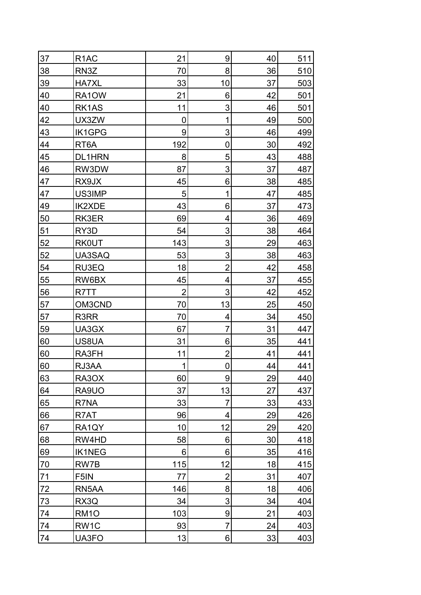| 37 | R <sub>1</sub> AC | 21             | 9                | 40 | 511 |
|----|-------------------|----------------|------------------|----|-----|
| 38 | RN3Z              | 70             | 8                | 36 | 510 |
| 39 | <b>HA7XL</b>      | 33             | 10               | 37 | 503 |
| 40 | RA1OW             | 21             | 6                | 42 | 501 |
| 40 | RK1AS             | 11             | 3                | 46 | 501 |
| 42 | UX3ZW             | 0              | 1                | 49 | 500 |
| 43 | <b>IK1GPG</b>     | 9              | 3                | 46 | 499 |
| 44 | RT <sub>6</sub> A | 192            | 0                | 30 | 492 |
| 45 | <b>DL1HRN</b>     | 8              | 5                | 43 | 488 |
| 46 | RW3DW             | 87             | 3                | 37 | 487 |
| 47 | RX9JX             | 45             | 6                | 38 | 485 |
| 47 | US3IMP            | 5              | 1                | 47 | 485 |
| 49 | <b>IK2XDE</b>     | 43             | 6                | 37 | 473 |
| 50 | RK3ER             | 69             | 4                | 36 | 469 |
| 51 | RY3D              | 54             | 3                | 38 | 464 |
| 52 | <b>RK0UT</b>      | 143            | 3                | 29 | 463 |
| 52 | UA3SAQ            | 53             | 3                | 38 | 463 |
| 54 | RU3EQ             | 18             | $\overline{2}$   | 42 | 458 |
| 55 | RW6BX             | 45             | 4                | 37 | 455 |
| 56 | R7TT              | $\overline{2}$ | 3                | 42 | 452 |
| 57 | OM3CND            | 70             | 13               | 25 | 450 |
| 57 | R3RR              | 70             | 4                | 34 | 450 |
| 59 | UA3GX             | 67             | 7                | 31 | 447 |
| 60 | US8UA             | 31             | 6                | 35 | 441 |
| 60 | RA3FH             | 11             | $\overline{2}$   | 41 | 441 |
| 60 | RJ3AA             | 1              | $\overline{0}$   | 44 | 441 |
| 63 | RA3OX             | 60             | 9                | 29 | 440 |
| 64 | RA9UO             | 37             | 13               | 27 | 437 |
| 65 | R7NA              | 33             | $\overline{7}$   | 33 | 433 |
| 66 | R7AT              | 96             | 4                | 29 | 426 |
| 67 | RA1QY             | 10             | 12               | 29 | 420 |
| 68 | RW4HD             | 58             | 6                | 30 | 418 |
| 69 | <b>IK1NEG</b>     | 6              | 6                | 35 | 416 |
| 70 | RW7B              | 115            | 12               | 18 | 415 |
| 71 | F5IN              | 77             | $\overline{2}$   | 31 | 407 |
| 72 | RN5AA             | 146            | 8                | 18 | 406 |
| 73 | RX3Q              | 34             | 3                | 34 | 404 |
| 74 | RM <sub>10</sub>  | 103            | $\boldsymbol{9}$ | 21 | 403 |
| 74 | RW <sub>1</sub> C | 93             | $\overline{7}$   | 24 | 403 |
| 74 | UA3FO             | 13             | $6 \,$           | 33 | 403 |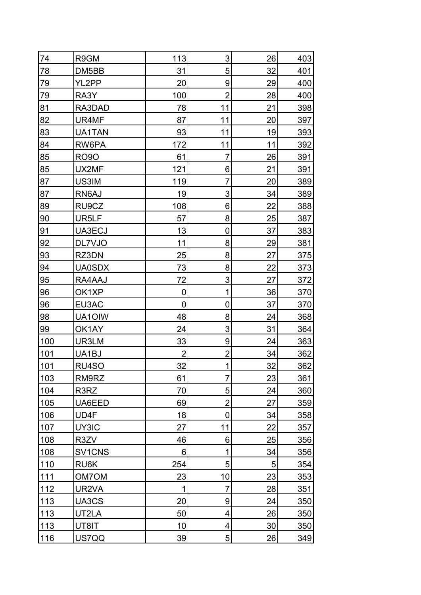| 74  | R9GM          | 113            | 3              | 26 | 403 |
|-----|---------------|----------------|----------------|----|-----|
| 78  | DM5BB         | 31             | 5              | 32 | 401 |
| 79  | YL2PP         | 20             | 9              | 29 | 400 |
| 79  | RA3Y          | 100            | $\overline{2}$ | 28 | 400 |
| 81  | RA3DAD        | 78             | 11             | 21 | 398 |
| 82  | UR4MF         | 87             | 11             | 20 | 397 |
| 83  | UA1TAN        | 93             | 11             | 19 | 393 |
| 84  | RW6PA         | 172            | 11             | 11 | 392 |
| 85  | <b>RO90</b>   | 61             | $\overline{7}$ | 26 | 391 |
| 85  | UX2MF         | 121            | 6              | 21 | 391 |
| 87  | US3IM         | 119            | $\overline{7}$ | 20 | 389 |
| 87  | RN6AJ         | 19             | 3              | 34 | 389 |
| 89  | RU9CZ         | 108            | 6              | 22 | 388 |
| 90  | UR5LF         | 57             | 8              | 25 | 387 |
| 91  | UA3ECJ        | 13             | 0              | 37 | 383 |
| 92  | DL7VJO        | 11             | 8              | 29 | 381 |
| 93  | RZ3DN         | 25             | 8              | 27 | 375 |
| 94  | <b>UA0SDX</b> | 73             | 8              | 22 | 373 |
| 95  | RA4AAJ        | 72             | 3              | 27 | 372 |
| 96  | OK1XP         | $\overline{0}$ | 1              | 36 | 370 |
| 96  | EU3AC         | $\mathbf 0$    | 0              | 37 | 370 |
| 98  | UA10IW        | 48             | 8              | 24 | 368 |
| 99  | OK1AY         | 24             | 3              | 31 | 364 |
| 100 | UR3LM         | 33             | 9              | 24 | 363 |
| 101 | UA1BJ         | $\overline{2}$ | $\overline{2}$ | 34 | 362 |
| 101 | RU4SO         | 32             | $\mathbf{1}$   | 32 | 362 |
| 103 | RM9RZ         | 61             | $\overline{7}$ | 23 | 361 |
| 104 | R3RZ          | 70             | 5              | 24 | 360 |
| 105 | UA6EED        | 69             | $\overline{2}$ | 27 | 359 |
| 106 | UD4F          | 18             | $\mathbf 0$    | 34 | 358 |
| 107 | UY3IC         | 27             | 11             | 22 | 357 |
| 108 | R3ZV          | 46             | 6              | 25 | 356 |
| 108 | SV1CNS        | 6              | 1              | 34 | 356 |
| 110 | RU6K          | 254            | 5              | 5  | 354 |
| 111 | <b>OM7OM</b>  | 23             | 10             | 23 | 353 |
| 112 | UR2VA         | 1              | 7              | 28 | 351 |
| 113 | UA3CS         | 20             | 9              | 24 | 350 |
| 113 | UT2LA         | 50             | 4              | 26 | 350 |
| 113 | UT8IT         | 10             | 4              | 30 | 350 |
| 116 | US7QQ         | 39             | $\overline{5}$ | 26 | 349 |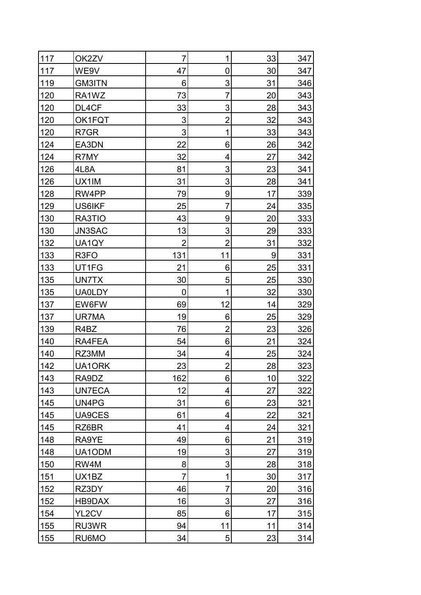| 117 | OK2ZV             | 7              | 1              | 33 | 347 |
|-----|-------------------|----------------|----------------|----|-----|
| 117 | WE9V              | 47             | 0              | 30 | 347 |
| 119 | <b>GM3ITN</b>     | 6              | 3              | 31 | 346 |
| 120 | RA1WZ             | 73             | 7              | 20 | 343 |
| 120 | DL4CF             | 33             | 3              | 28 | 343 |
| 120 | OK1FQT            | 3              | 2              | 32 | 343 |
| 120 | R7GR              | 3              | 1              | 33 | 343 |
| 124 | EA3DN             | 22             | 6              | 26 | 342 |
| 124 | R7MY              | 32             | 4              | 27 | 342 |
| 126 | 4L8A              | 81             | 3              | 23 | 341 |
| 126 | UX1IM             | 31             | 3              | 28 | 341 |
| 128 | RW4PP             | 79             | 9              | 17 | 339 |
| 129 | <b>US6IKF</b>     | 25             | 7              | 24 | 335 |
| 130 | RA3TIO            | 43             | 9              | 20 | 333 |
| 130 | JN3SAC            | 13             | 3              | 29 | 333 |
| 132 | UA1QY             | $\overline{2}$ | $\overline{2}$ | 31 | 332 |
| 133 | R <sub>3</sub> FO | 131            | 11             | 9  | 331 |
| 133 | UT1FG             | 21             | 6              | 25 | 331 |
| 135 | UN7TX             | 30             | 5              | 25 | 330 |
| 135 | <b>UA0LDY</b>     | $\overline{0}$ | 1              | 32 | 330 |
| 137 | EW6FW             | 69             | 12             | 14 | 329 |
| 137 | UR7MA             | 19             | 6              | 25 | 329 |
| 139 | R4BZ              | 76             | $\overline{2}$ | 23 | 326 |
| 140 | RA4FEA            | 54             | 6              | 21 | 324 |
| 140 | RZ3MM             | 34             | 4              | 25 | 324 |
| 142 | UA1ORK            | 23             | $\overline{2}$ | 28 | 323 |
| 143 | RA9DZ             | 162            | 6              | 10 | 322 |
| 143 | <b>UN7ECA</b>     | 12             | 4              | 27 | 322 |
| 145 | UN4PG             | 31             | 6              | 23 | 321 |
| 145 | UA9CES            | 61             | 4              | 22 | 321 |
| 145 | RZ6BR             | 41             | 4              | 24 | 321 |
| 148 | RA9YE             | 49             | 6              | 21 | 319 |
| 148 | UA1ODM            | 19             | 3              | 27 | 319 |
| 150 | RW4M              | 8              | 3              | 28 | 318 |
| 151 | UX1BZ             | 7              | 1              | 30 | 317 |
| 152 | RZ3DY             | 46             | 7              | 20 | 316 |
| 152 | HB9DAX            | 16             | 3              | 27 | 316 |
| 154 | YL2CV             | 85             | 6              | 17 | 315 |
| 155 | RU3WR             | 94             | 11             | 11 | 314 |
| 155 | RU6MO             | 34             | 5              | 23 | 314 |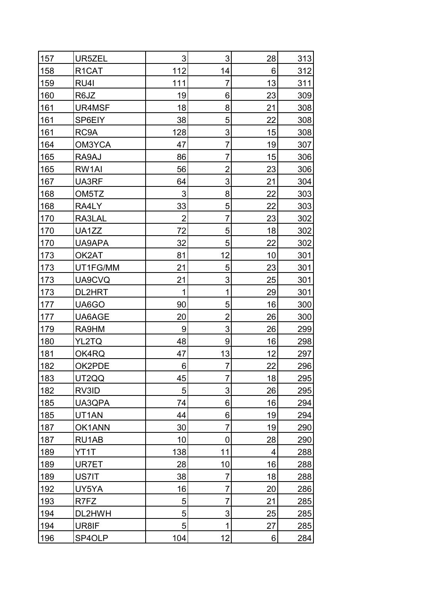| 157 | UR5ZEL             | 3              | 3              | 28 | 313 |
|-----|--------------------|----------------|----------------|----|-----|
| 158 | R <sub>1</sub> CAT | 112            | 14             | 6  | 312 |
| 159 | RU4I               | 111            | 7              | 13 | 311 |
| 160 | R6JZ               | 19             | 6              | 23 | 309 |
| 161 | UR4MSF             | 18             | 8              | 21 | 308 |
| 161 | SP6EIY             | 38             | 5              | 22 | 308 |
| 161 | RC9A               | 128            | 3              | 15 | 308 |
| 164 | OM3YCA             | 47             | 7              | 19 | 307 |
| 165 | RA9AJ              | 86             | $\overline{7}$ | 15 | 306 |
| 165 | RW1AI              | 56             | $\overline{2}$ | 23 | 306 |
| 167 | UA3RF              | 64             | 3              | 21 | 304 |
| 168 | OM <sub>5</sub> TZ | 3              | 8              | 22 | 303 |
| 168 | RA4LY              | 33             | 5              | 22 | 303 |
| 170 | RA3LAL             | $\overline{2}$ | 7              | 23 | 302 |
| 170 | UA1ZZ              | 72             | 5              | 18 | 302 |
| 170 | UA9APA             | 32             | 5              | 22 | 302 |
| 173 | OK2AT              | 81             | 12             | 10 | 301 |
| 173 | UT1FG/MM           | 21             | 5              | 23 | 301 |
| 173 | UA9CVQ             | 21             | 3              | 25 | 301 |
| 173 | DL2HRT             | 1              | 1              | 29 | 301 |
| 177 | UA6GO              | 90             | 5              | 16 | 300 |
| 177 | UA6AGE             | 20             | $\overline{2}$ | 26 | 300 |
| 179 | RA9HM              | 9              | 3              | 26 | 299 |
| 180 | YL2TQ              | 48             | $9\,$          | 16 | 298 |
| 181 | OK4RQ              | 47             | 13             | 12 | 297 |
| 182 | OK2PDE             | 6              | 7              | 22 | 296 |
| 183 | UT2QQ              | 45             | 7              | 18 | 295 |
| 182 | RV3ID              | 5              | 3              | 26 | 295 |
| 185 | UA3QPA             | 74             | 6              | 16 | 294 |
| 185 | UT1AN              | 44             | 6              | 19 | 294 |
| 187 | OK1ANN             | 30             | 7              | 19 | 290 |
| 187 | RU1AB              | 10             | 0              | 28 | 290 |
| 189 | YT1T               | 138            | 11             | 4  | 288 |
| 189 | UR7ET              | 28             | 10             | 16 | 288 |
| 189 | US7IT              | 38             | 7              | 18 | 288 |
| 192 | UY5YA              | 16             | 7              | 20 | 286 |
| 193 | R7FZ               | 5              | 7              | 21 | 285 |
| 194 | DL2HWH             | 5              | 3              | 25 | 285 |
| 194 | UR8IF              | 5              | 1              | 27 | 285 |
| 196 | SP4OLP             | 104            | 12             | 6  | 284 |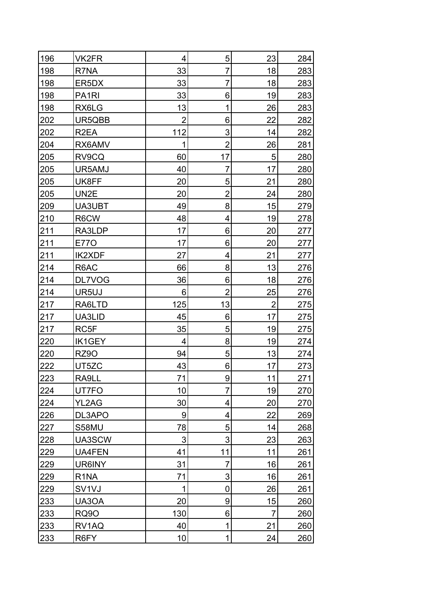| 196 | VK2FR              | $\overline{\mathbf{4}}$ | 5              | 23             | 284 |
|-----|--------------------|-------------------------|----------------|----------------|-----|
| 198 | R7NA               | 33                      | 7              | 18             | 283 |
| 198 | ER5DX              | 33                      | 7              | 18             | 283 |
| 198 | PA <sub>1</sub> RI | 33                      | 6              | 19             | 283 |
| 198 | RX6LG              | 13                      | 1              | 26             | 283 |
| 202 | UR5QBB             | $\overline{2}$          | 6              | 22             | 282 |
| 202 | R <sub>2</sub> EA  | 112                     | 3              | 14             | 282 |
| 204 | RX6AMV             | 1                       | $\overline{2}$ | 26             | 281 |
| 205 | RV9CQ              | 60                      | 17             | 5              | 280 |
| 205 | UR5AMJ             | 40                      | $\overline{7}$ | 17             | 280 |
| 205 | UK8FF              | 20                      | 5              | 21             | 280 |
| 205 | UN2E               | 20                      | $\overline{2}$ | 24             | 280 |
| 209 | UA3UBT             | 49                      | 8              | 15             | 279 |
| 210 | R6CW               | 48                      | 4              | 19             | 278 |
| 211 | RA3LDP             | 17                      | 6              | 20             | 277 |
| 211 | <b>E770</b>        | 17                      | 6              | 20             | 277 |
| 211 | <b>IK2XDF</b>      | 27                      | 4              | 21             | 277 |
| 214 | R6AC               | 66                      | 8              | 13             | 276 |
| 214 | DL7VOG             | 36                      | 6              | 18             | 276 |
| 214 | UR5UJ              | 6                       | $\overline{2}$ | 25             | 276 |
| 217 | RA6LTD             | 125                     | 13             | $\overline{2}$ | 275 |
| 217 | UA3LID             | 45                      | 6              | 17             | 275 |
| 217 | RC5F               | 35                      | 5              | 19             | 275 |
| 220 | IK1GEY             | 4                       | 8              | 19             | 274 |
| 220 | RZ9O               | 94                      | 5              | 13             | 274 |
| 222 | UT5ZC              | 43                      | 6 <sup>1</sup> | 17             | 273 |
| 223 | RA9LL              | 71                      | 9              | 11             | 271 |
| 224 | UT7FO              | 10                      | $\overline{7}$ | 19             | 270 |
| 224 | YL2AG              | 30                      | 4              | 20             | 270 |
| 226 | DL3APO             | 9                       | 4              | 22             | 269 |
| 227 | S58MU              | 78                      | 5              | 14             | 268 |
| 228 | UA3SCW             | 3                       | 3              | 23             | 263 |
| 229 | UA4FEN             | 41                      | 11             | 11             | 261 |
| 229 | UR6INY             | 31                      | 7              | 16             | 261 |
| 229 | R <sub>1</sub> NA  | 71                      | 3              | 16             | 261 |
| 229 | SV <sub>1V</sub> J | 1                       | 0              | 26             | 261 |
| 233 | UA3OA              | 20                      | 9              | 15             | 260 |
| 233 | <b>RQ90</b>        | 130                     | 6              | $\overline{7}$ | 260 |
| 233 | RV1AQ              | 40                      | 1              | 21             | 260 |
| 233 | R6FY               | 10                      | 1              | 24             | 260 |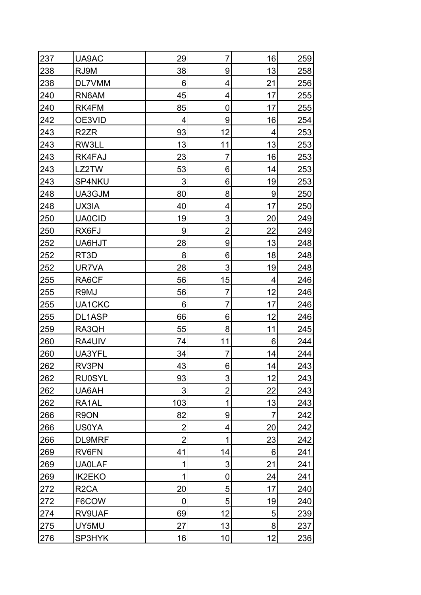| 237 | UA9AC             | 29             | $\overline{7}$ | 16             | 259 |
|-----|-------------------|----------------|----------------|----------------|-----|
| 238 | RJ9M              | 38             | 9              | 13             | 258 |
| 238 | DL7VMM            | 6              | 4              | 21             | 256 |
| 240 | RN6AM             | 45             | 4              | 17             | 255 |
| 240 | RK4FM             | 85             | 0              | 17             | 255 |
| 242 | OE3VID            | 4              | 9              | 16             | 254 |
| 243 | R <sub>2</sub> ZR | 93             | 12             | 4              | 253 |
| 243 | RW3LL             | 13             | 11             | 13             | 253 |
| 243 | RK4FAJ            | 23             | 7              | 16             | 253 |
| 243 | LZ2TW             | 53             | 6              | 14             | 253 |
| 243 | SP4NKU            | 3              | 6              | 19             | 253 |
| 248 | UA3GJM            | 80             | 8              | 9              | 250 |
| 248 | UX3IA             | 40             | 4              | 17             | 250 |
| 250 | <b>UA0CID</b>     | 19             | 3              | 20             | 249 |
| 250 | RX6FJ             | 9              | $\overline{2}$ | 22             | 249 |
| 252 | UA6HJT            | 28             | 9              | 13             | 248 |
| 252 | RT <sub>3</sub> D | 8              | 6              | 18             | 248 |
| 252 | UR7VA             | 28             | 3              | 19             | 248 |
| 255 | RA6CF             | 56             | 15             | 4              | 246 |
| 255 | R9MJ              | 56             | $\overline{7}$ | 12             | 246 |
| 255 | UA1CKC            | 6              | 7              | 17             | 246 |
| 255 | DL1ASP            | 66             | 6              | 12             | 246 |
| 259 | RA3QH             | 55             | 8              | 11             | 245 |
| 260 | RA4UIV            | 74             | 11             | 6              | 244 |
| 260 | UA3YFL            | 34             | 7              | 14             | 244 |
| 262 | RV3PN             | 43             | $6 \,$         | 14             | 243 |
| 262 | <b>RU0SYL</b>     | 93             | 3              | 12             | 243 |
| 262 | UA6AH             | 3              | $\overline{2}$ | 22             | 243 |
| 262 | RA1AL             | 103            | 1              | 13             | 243 |
| 266 | R9ON              | 82             | 9              | $\overline{7}$ | 242 |
| 266 | <b>US0YA</b>      | 2              | 4              | 20             | 242 |
| 266 | <b>DL9MRF</b>     | $\overline{2}$ | 1              | 23             | 242 |
| 269 | RV6FN             | 41             | 14             | 6              | 241 |
| 269 | <b>UA0LAF</b>     | 1              | 3              | 21             | 241 |
| 269 | <b>IK2EKO</b>     | 1              | 0              | 24             | 241 |
| 272 | R <sub>2</sub> CA | 20             | 5              | 17             | 240 |
| 272 | F6COW             | 0              | 5              | 19             | 240 |
| 274 | RV9UAF            | 69             | 12             | 5              | 239 |
| 275 | UY5MU             | 27             | 13             | 8              | 237 |
| 276 | SP3HYK            | 16             | 10             | 12             | 236 |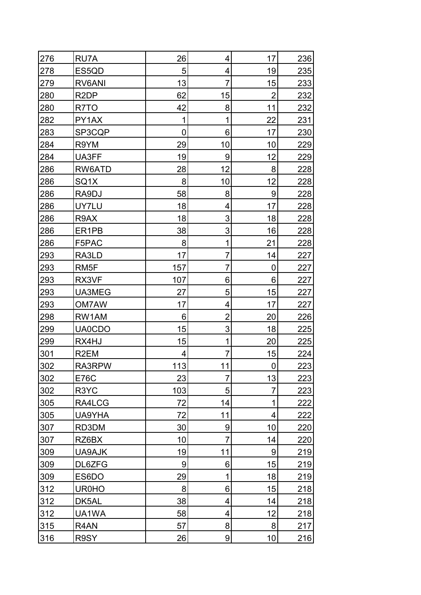| 276 | RU7A              | 26  | 4              | 17             | 236 |
|-----|-------------------|-----|----------------|----------------|-----|
| 278 | ES5QD             | 5   | 4              | 19             | 235 |
| 279 | RV6ANI            | 13  | 7              | 15             | 233 |
| 280 | R <sub>2</sub> DP | 62  | 15             | $\overline{2}$ | 232 |
| 280 | R7TO              | 42  | 8              | 11             | 232 |
| 282 | PY1AX             | 1   | 1              | 22             | 231 |
| 283 | SP3CQP            | 0   | 6              | 17             | 230 |
| 284 | R9YM              | 29  | 10             | 10             | 229 |
| 284 | UA3FF             | 19  | 9              | 12             | 229 |
| 286 | RW6ATD            | 28  | 12             | 8              | 228 |
| 286 | SQ1X              | 8   | 10             | 12             | 228 |
| 286 | RA9DJ             | 58  | 8              | 9              | 228 |
| 286 | UY7LU             | 18  | 4              | 17             | 228 |
| 286 | R9AX              | 18  | 3              | 18             | 228 |
| 286 | ER1PB             | 38  | 3              | 16             | 228 |
| 286 | F5PAC             | 8   | 1              | 21             | 228 |
| 293 | RA3LD             | 17  | 7              | 14             | 227 |
| 293 | RM <sub>5</sub> F | 157 | 7              | 0              | 227 |
| 293 | RX3VF             | 107 | 6              | 6              | 227 |
| 293 | UA3MEG            | 27  | 5              | 15             | 227 |
| 293 | OM7AW             | 17  | 4              | 17             | 227 |
| 298 | RW1AM             | 6   | $\overline{2}$ | 20             | 226 |
| 299 | <b>UA0CDO</b>     | 15  | 3              | 18             | 225 |
| 299 | RX4HJ             | 15  | 1              | 20             | 225 |
| 301 | R <sub>2</sub> EM | 4   | 7              | 15             | 224 |
| 302 | RA3RPW            | 113 | 11             | 0              | 223 |
| 302 | <b>E76C</b>       | 23  | $\overline{7}$ | 13             | 223 |
| 302 | R3YC              | 103 | 5              | 7              | 223 |
| 305 | RA4LCG            | 72  | 14             | 1              | 222 |
| 305 | UA9YHA            | 72  | 11             | 4              | 222 |
| 307 | RD3DM             | 30  | 9              | 10             | 220 |
| 307 | RZ6BX             | 10  | 7              | 14             | 220 |
| 309 | UA9AJK            | 19  | 11             | 9              | 219 |
| 309 | DL6ZFG            | 9   | 6              | 15             | 219 |
| 309 | ES6DO             | 29  | 1              | 18             | 219 |
| 312 | <b>UR0HO</b>      | 8   | 6              | 15             | 218 |
| 312 | DK5AL             | 38  | 4              | 14             | 218 |
| 312 | UA1WA             | 58  | 4              | 12             | 218 |
| 315 | R4AN              | 57  | 8              | 8              | 217 |
| 316 | R9SY              | 26  | 9              | 10             | 216 |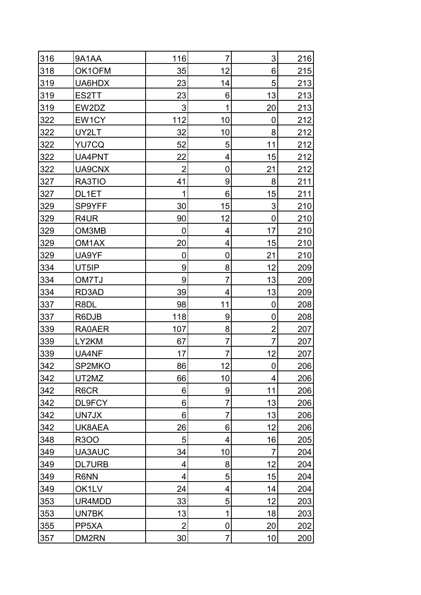| 316 | 9A1AA         | 116            | $\overline{7}$ | 3                       | 216 |
|-----|---------------|----------------|----------------|-------------------------|-----|
| 318 | OK1OFM        | 35             | 12             | 6                       | 215 |
| 319 | UA6HDX        | 23             | 14             | 5                       | 213 |
| 319 | ES2TT         | 23             | 6              | 13                      | 213 |
| 319 | EW2DZ         | $\mathfrak{S}$ | 1              | 20                      | 213 |
| 322 | EW1CY         | 112            | 10             | 0                       | 212 |
| 322 | UY2LT         | 32             | 10             | 8                       | 212 |
| 322 | YU7CQ         | 52             | 5              | 11                      | 212 |
| 322 | UA4PNT        | 22             | 4              | 15                      | 212 |
| 322 | UA9CNX        | $\overline{2}$ | 0              | 21                      | 212 |
| 327 | RA3TIO        | 41             | 9              | 8                       | 211 |
| 327 | DL1ET         | 1              | 6              | 15                      | 211 |
| 329 | SP9YFF        | 30             | 15             | 3                       | 210 |
| 329 | R4UR          | 90             | 12             | 0                       | 210 |
| 329 | OM3MB         | 0              | 4              | 17                      | 210 |
| 329 | OM1AX         | 20             | 4              | 15                      | 210 |
| 329 | UA9YF         | 0              | 0              | 21                      | 210 |
| 334 | UT5IP         | 9              | 8              | 12                      | 209 |
| 334 | OM7TJ         | 9              | $\overline{7}$ | 13                      | 209 |
| 334 | RD3AD         | 39             | 4              | 13                      | 209 |
| 337 | R8DL          | 98             | 11             | 0                       | 208 |
| 337 | R6DJB         | 118            | 9              | 0                       | 208 |
| 339 | RA0AER        | 107            | 8              | $\overline{2}$          | 207 |
| 339 | LY2KM         | 67             | 7              | $\overline{7}$          | 207 |
| 339 | UA4NF         | 17             | 7              | 12                      | 207 |
| 342 | SP2MKO        | 86             | 12             | 0                       | 206 |
| 342 | UT2MZ         | 66             | 10             | $\overline{\mathbf{4}}$ | 206 |
| 342 | R6CR          | 6              | 9              | 11                      | 206 |
| 342 | DL9FCY        | 6              | $\overline{7}$ | 13                      | 206 |
| 342 | UN7JX         | 6              | $\overline{7}$ | 13                      | 206 |
| 342 | UK8AEA        | 26             | 6              | 12                      | 206 |
| 348 | R300          | 5              | 4              | 16                      | 205 |
| 349 | UA3AUC        | 34             | 10             | $\overline{7}$          | 204 |
| 349 | <b>DL7URB</b> | 4              | 8              | 12                      | 204 |
| 349 | R6NN          | 4              | 5              | 15                      | 204 |
| 349 | OK1LV         | 24             | 4              | 14                      | 204 |
| 353 | UR4MDD        | 33             | 5              | 12                      | 203 |
| 353 | UN7BK         | 13             | 1              | 18                      | 203 |
| 355 | PP5XA         | $\overline{2}$ | 0              | 20                      | 202 |
| 357 | DM2RN         | 30             | $\overline{7}$ | 10                      | 200 |